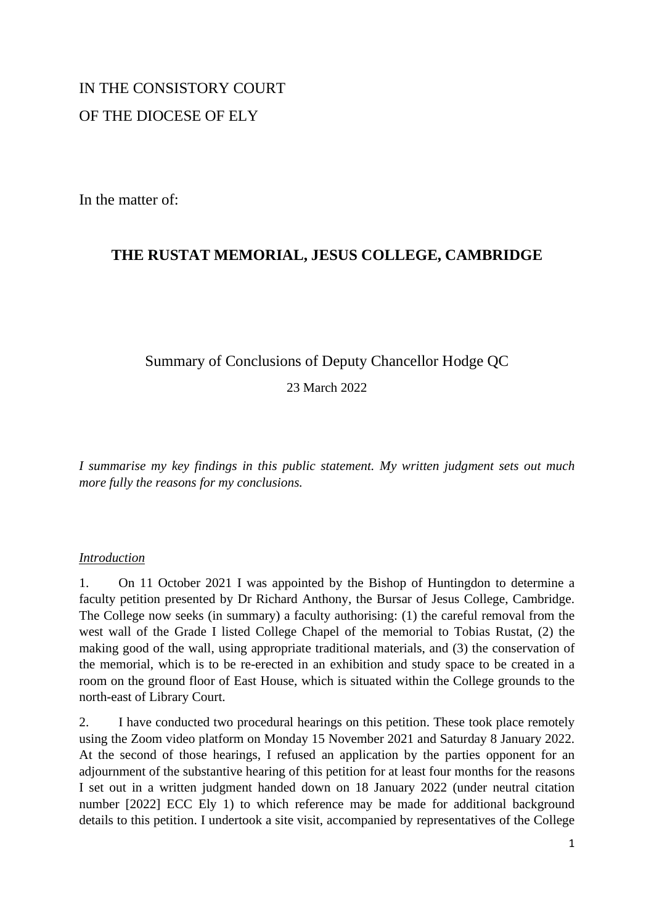# IN THE CONSISTORY COURT OF THE DIOCESE OF ELY

In the matter of:

## **THE RUSTAT MEMORIAL, JESUS COLLEGE, CAMBRIDGE**

## Summary of Conclusions of Deputy Chancellor Hodge QC

23 March 2022

*I summarise my key findings in this public statement. My written judgment sets out much more fully the reasons for my conclusions.*

### *Introduction*

1. On 11 October 2021 I was appointed by the Bishop of Huntingdon to determine a faculty petition presented by Dr Richard Anthony, the Bursar of Jesus College, Cambridge. The College now seeks (in summary) a faculty authorising: (1) the careful removal from the west wall of the Grade I listed College Chapel of the memorial to Tobias Rustat, (2) the making good of the wall, using appropriate traditional materials, and (3) the conservation of the memorial, which is to be re-erected in an exhibition and study space to be created in a room on the ground floor of East House, which is situated within the College grounds to the north-east of Library Court.

2. I have conducted two procedural hearings on this petition. These took place remotely using the Zoom video platform on Monday 15 November 2021 and Saturday 8 January 2022. At the second of those hearings, I refused an application by the parties opponent for an adjournment of the substantive hearing of this petition for at least four months for the reasons I set out in a written judgment handed down on 18 January 2022 (under neutral citation number [2022] ECC Ely 1) to which reference may be made for additional background details to this petition. I undertook a site visit, accompanied by representatives of the College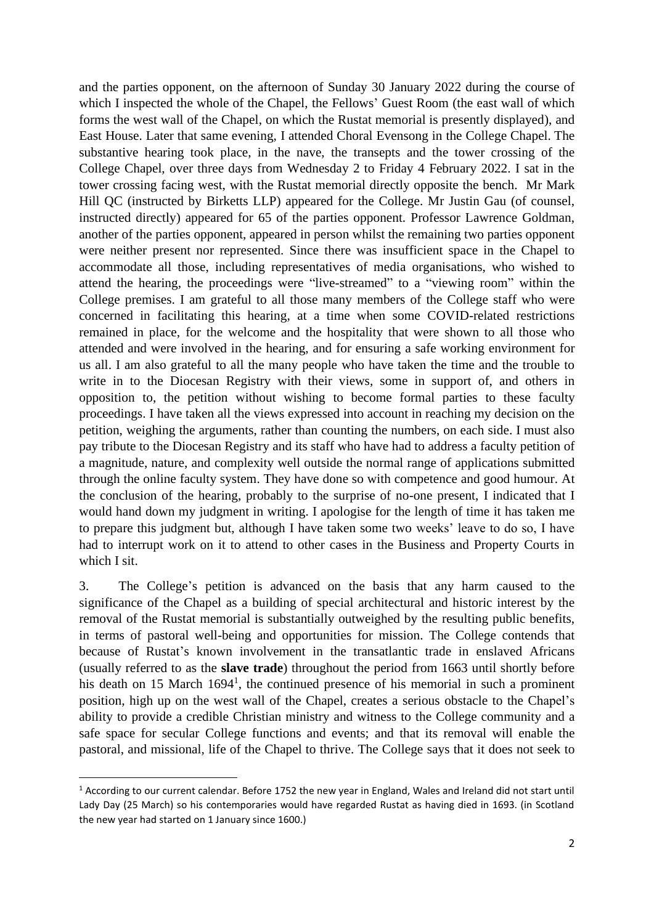and the parties opponent, on the afternoon of Sunday 30 January 2022 during the course of which I inspected the whole of the Chapel, the Fellows' Guest Room (the east wall of which forms the west wall of the Chapel, on which the Rustat memorial is presently displayed), and East House. Later that same evening, I attended Choral Evensong in the College Chapel. The substantive hearing took place, in the nave, the transepts and the tower crossing of the College Chapel, over three days from Wednesday 2 to Friday 4 February 2022. I sat in the tower crossing facing west, with the Rustat memorial directly opposite the bench. Mr Mark Hill QC (instructed by Birketts LLP) appeared for the College. Mr Justin Gau (of counsel, instructed directly) appeared for 65 of the parties opponent. Professor Lawrence Goldman, another of the parties opponent, appeared in person whilst the remaining two parties opponent were neither present nor represented. Since there was insufficient space in the Chapel to accommodate all those, including representatives of media organisations, who wished to attend the hearing, the proceedings were "live-streamed" to a "viewing room" within the College premises. I am grateful to all those many members of the College staff who were concerned in facilitating this hearing, at a time when some COVID-related restrictions remained in place, for the welcome and the hospitality that were shown to all those who attended and were involved in the hearing, and for ensuring a safe working environment for us all. I am also grateful to all the many people who have taken the time and the trouble to write in to the Diocesan Registry with their views, some in support of, and others in opposition to, the petition without wishing to become formal parties to these faculty proceedings. I have taken all the views expressed into account in reaching my decision on the petition, weighing the arguments, rather than counting the numbers, on each side. I must also pay tribute to the Diocesan Registry and its staff who have had to address a faculty petition of a magnitude, nature, and complexity well outside the normal range of applications submitted through the online faculty system. They have done so with competence and good humour. At the conclusion of the hearing, probably to the surprise of no-one present, I indicated that I would hand down my judgment in writing. I apologise for the length of time it has taken me to prepare this judgment but, although I have taken some two weeks' leave to do so, I have had to interrupt work on it to attend to other cases in the Business and Property Courts in which I sit.

3. The College's petition is advanced on the basis that any harm caused to the significance of the Chapel as a building of special architectural and historic interest by the removal of the Rustat memorial is substantially outweighed by the resulting public benefits, in terms of pastoral well-being and opportunities for mission. The College contends that because of Rustat's known involvement in the transatlantic trade in enslaved Africans (usually referred to as the **slave trade**) throughout the period from 1663 until shortly before his death on 15 March 1694<sup>1</sup>, the continued presence of his memorial in such a prominent position, high up on the west wall of the Chapel, creates a serious obstacle to the Chapel's ability to provide a credible Christian ministry and witness to the College community and a safe space for secular College functions and events; and that its removal will enable the pastoral, and missional, life of the Chapel to thrive. The College says that it does not seek to

 $1$  According to our current calendar. Before 1752 the new year in England, Wales and Ireland did not start until Lady Day (25 March) so his contemporaries would have regarded Rustat as having died in 1693. (in Scotland the new year had started on 1 January since 1600.)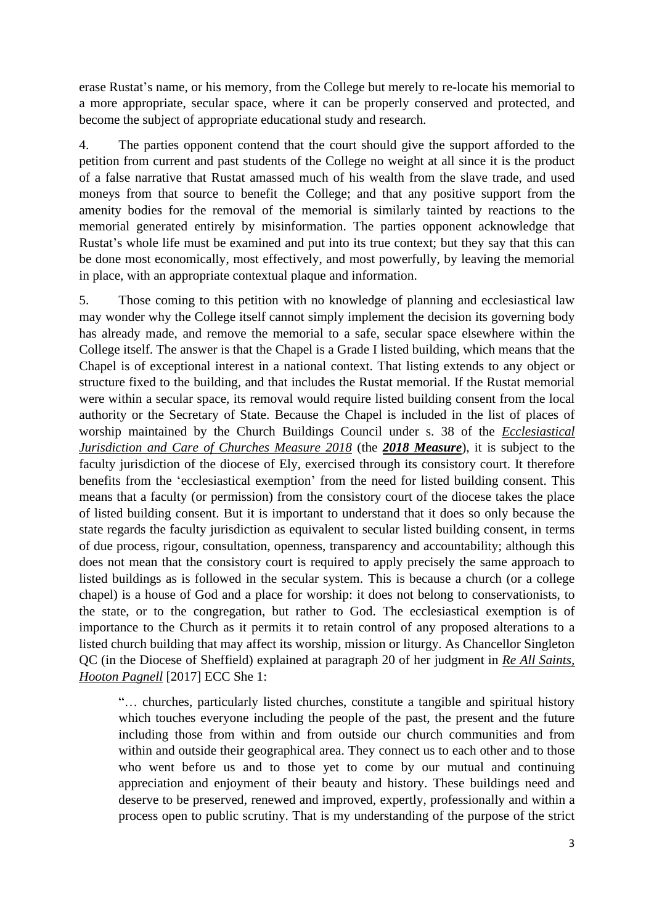erase Rustat's name, or his memory, from the College but merely to re-locate his memorial to a more appropriate, secular space, where it can be properly conserved and protected, and become the subject of appropriate educational study and research.

4. The parties opponent contend that the court should give the support afforded to the petition from current and past students of the College no weight at all since it is the product of a false narrative that Rustat amassed much of his wealth from the slave trade, and used moneys from that source to benefit the College; and that any positive support from the amenity bodies for the removal of the memorial is similarly tainted by reactions to the memorial generated entirely by misinformation. The parties opponent acknowledge that Rustat's whole life must be examined and put into its true context; but they say that this can be done most economically, most effectively, and most powerfully, by leaving the memorial in place, with an appropriate contextual plaque and information.

5. Those coming to this petition with no knowledge of planning and ecclesiastical law may wonder why the College itself cannot simply implement the decision its governing body has already made, and remove the memorial to a safe, secular space elsewhere within the College itself. The answer is that the Chapel is a Grade I listed building, which means that the Chapel is of exceptional interest in a national context. That listing extends to any object or structure fixed to the building, and that includes the Rustat memorial. If the Rustat memorial were within a secular space, its removal would require listed building consent from the local authority or the Secretary of State. Because the Chapel is included in the list of places of worship maintained by the Church Buildings Council under s. 38 of the *Ecclesiastical Jurisdiction and Care of Churches Measure 2018* (the *2018 Measure*), it is subject to the faculty jurisdiction of the diocese of Ely, exercised through its consistory court. It therefore benefits from the 'ecclesiastical exemption' from the need for listed building consent. This means that a faculty (or permission) from the consistory court of the diocese takes the place of listed building consent. But it is important to understand that it does so only because the state regards the faculty jurisdiction as equivalent to secular listed building consent, in terms of due process, rigour, consultation, openness, transparency and accountability; although this does not mean that the consistory court is required to apply precisely the same approach to listed buildings as is followed in the secular system. This is because a church (or a college chapel) is a house of God and a place for worship: it does not belong to conservationists, to the state, or to the congregation, but rather to God. The ecclesiastical exemption is of importance to the Church as it permits it to retain control of any proposed alterations to a listed church building that may affect its worship, mission or liturgy. As Chancellor Singleton QC (in the Diocese of Sheffield) explained at paragraph 20 of her judgment in *Re All Saints, Hooton Pagnell* [2017] ECC She 1:

"… churches, particularly listed churches, constitute a tangible and spiritual history which touches everyone including the people of the past, the present and the future including those from within and from outside our church communities and from within and outside their geographical area. They connect us to each other and to those who went before us and to those yet to come by our mutual and continuing appreciation and enjoyment of their beauty and history. These buildings need and deserve to be preserved, renewed and improved, expertly, professionally and within a process open to public scrutiny. That is my understanding of the purpose of the strict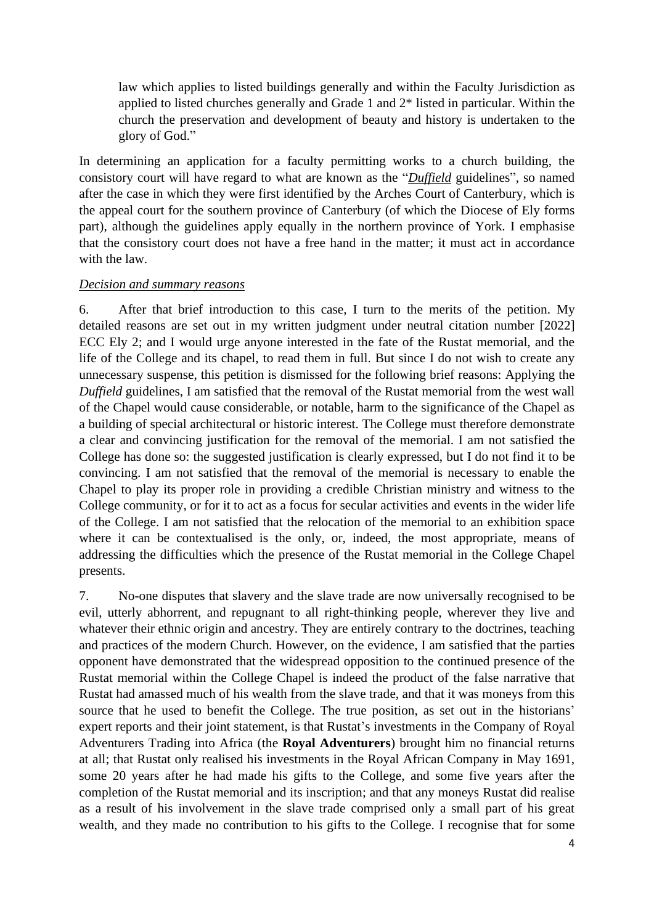law which applies to listed buildings generally and within the Faculty Jurisdiction as applied to listed churches generally and Grade 1 and 2\* listed in particular. Within the church the preservation and development of beauty and history is undertaken to the glory of God."

In determining an application for a faculty permitting works to a church building, the consistory court will have regard to what are known as the "*Duffield* guidelines", so named after the case in which they were first identified by the Arches Court of Canterbury, which is the appeal court for the southern province of Canterbury (of which the Diocese of Ely forms part), although the guidelines apply equally in the northern province of York. I emphasise that the consistory court does not have a free hand in the matter; it must act in accordance with the law.

#### *Decision and summary reasons*

6. After that brief introduction to this case, I turn to the merits of the petition. My detailed reasons are set out in my written judgment under neutral citation number [2022] ECC Ely 2; and I would urge anyone interested in the fate of the Rustat memorial, and the life of the College and its chapel, to read them in full. But since I do not wish to create any unnecessary suspense, this petition is dismissed for the following brief reasons: Applying the *Duffield* guidelines, I am satisfied that the removal of the Rustat memorial from the west wall of the Chapel would cause considerable, or notable, harm to the significance of the Chapel as a building of special architectural or historic interest. The College must therefore demonstrate a clear and convincing justification for the removal of the memorial. I am not satisfied the College has done so: the suggested justification is clearly expressed, but I do not find it to be convincing. I am not satisfied that the removal of the memorial is necessary to enable the Chapel to play its proper role in providing a credible Christian ministry and witness to the College community, or for it to act as a focus for secular activities and events in the wider life of the College. I am not satisfied that the relocation of the memorial to an exhibition space where it can be contextualised is the only, or, indeed, the most appropriate, means of addressing the difficulties which the presence of the Rustat memorial in the College Chapel presents.

7. No-one disputes that slavery and the slave trade are now universally recognised to be evil, utterly abhorrent, and repugnant to all right-thinking people, wherever they live and whatever their ethnic origin and ancestry. They are entirely contrary to the doctrines, teaching and practices of the modern Church. However, on the evidence, I am satisfied that the parties opponent have demonstrated that the widespread opposition to the continued presence of the Rustat memorial within the College Chapel is indeed the product of the false narrative that Rustat had amassed much of his wealth from the slave trade, and that it was moneys from this source that he used to benefit the College. The true position, as set out in the historians' expert reports and their joint statement, is that Rustat's investments in the Company of Royal Adventurers Trading into Africa (the **Royal Adventurers**) brought him no financial returns at all; that Rustat only realised his investments in the Royal African Company in May 1691, some 20 years after he had made his gifts to the College, and some five years after the completion of the Rustat memorial and its inscription; and that any moneys Rustat did realise as a result of his involvement in the slave trade comprised only a small part of his great wealth, and they made no contribution to his gifts to the College. I recognise that for some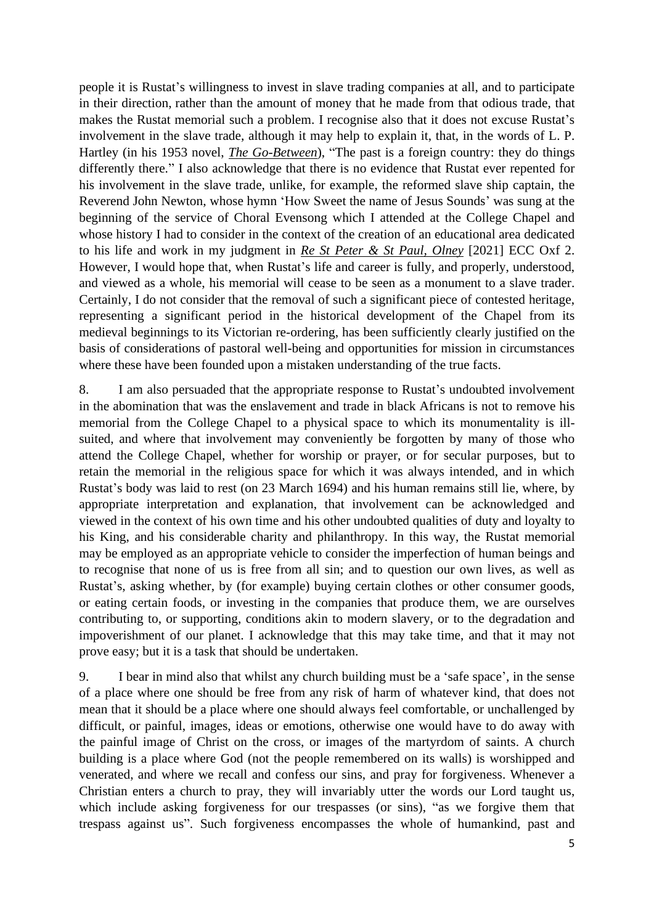people it is Rustat's willingness to invest in slave trading companies at all, and to participate in their direction, rather than the amount of money that he made from that odious trade, that makes the Rustat memorial such a problem. I recognise also that it does not excuse Rustat's involvement in the slave trade, although it may help to explain it, that, in the words of L. P. Hartley (in his 1953 novel, *The Go-Between*), "The past is a foreign country: they do things differently there." I also acknowledge that there is no evidence that Rustat ever repented for his involvement in the slave trade, unlike, for example, the reformed slave ship captain, the Reverend John Newton, whose hymn 'How Sweet the name of Jesus Sounds' was sung at the beginning of the service of Choral Evensong which I attended at the College Chapel and whose history I had to consider in the context of the creation of an educational area dedicated to his life and work in my judgment in *Re St Peter & St Paul, Olney* [2021] ECC Oxf 2. However, I would hope that, when Rustat's life and career is fully, and properly, understood, and viewed as a whole, his memorial will cease to be seen as a monument to a slave trader. Certainly, I do not consider that the removal of such a significant piece of contested heritage, representing a significant period in the historical development of the Chapel from its medieval beginnings to its Victorian re-ordering, has been sufficiently clearly justified on the basis of considerations of pastoral well-being and opportunities for mission in circumstances where these have been founded upon a mistaken understanding of the true facts.

8. I am also persuaded that the appropriate response to Rustat's undoubted involvement in the abomination that was the enslavement and trade in black Africans is not to remove his memorial from the College Chapel to a physical space to which its monumentality is illsuited, and where that involvement may conveniently be forgotten by many of those who attend the College Chapel, whether for worship or prayer, or for secular purposes, but to retain the memorial in the religious space for which it was always intended, and in which Rustat's body was laid to rest (on 23 March 1694) and his human remains still lie, where, by appropriate interpretation and explanation, that involvement can be acknowledged and viewed in the context of his own time and his other undoubted qualities of duty and loyalty to his King, and his considerable charity and philanthropy. In this way, the Rustat memorial may be employed as an appropriate vehicle to consider the imperfection of human beings and to recognise that none of us is free from all sin; and to question our own lives, as well as Rustat's, asking whether, by (for example) buying certain clothes or other consumer goods, or eating certain foods, or investing in the companies that produce them, we are ourselves contributing to, or supporting, conditions akin to modern slavery, or to the degradation and impoverishment of our planet. I acknowledge that this may take time, and that it may not prove easy; but it is a task that should be undertaken.

9. I bear in mind also that whilst any church building must be a 'safe space', in the sense of a place where one should be free from any risk of harm of whatever kind, that does not mean that it should be a place where one should always feel comfortable, or unchallenged by difficult, or painful, images, ideas or emotions, otherwise one would have to do away with the painful image of Christ on the cross, or images of the martyrdom of saints. A church building is a place where God (not the people remembered on its walls) is worshipped and venerated, and where we recall and confess our sins, and pray for forgiveness. Whenever a Christian enters a church to pray, they will invariably utter the words our Lord taught us, which include asking forgiveness for our trespasses (or sins), "as we forgive them that trespass against us". Such forgiveness encompasses the whole of humankind, past and